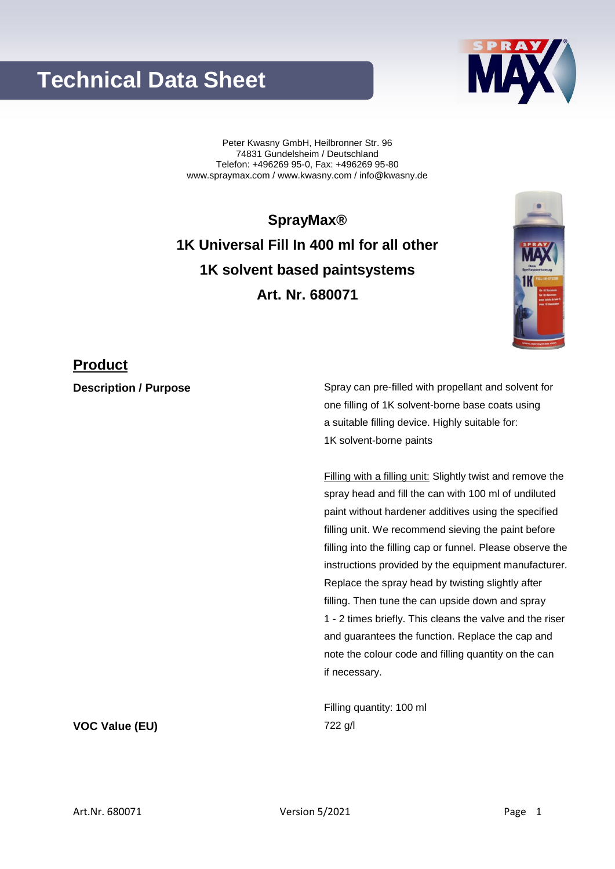# **Technical Data Sheet**

Peter Kwasny GmbH, Heilbronner Str. 96 74831 Gundelsheim / Deutschland Telefon: +496269 95-0, Fax: +496269 95-80 www.spraymax.com / www.kwasny.com / info@kwasny.de

**SprayMax® 1K Universal Fill In 400 ml for all other 1K solvent based paintsystems Art. Nr. 680071**

### **Product**

**Description / Purpose** Spray can pre-filled with propellant and solvent for one filling of 1K solvent-borne base coats using a suitable filling device. Highly suitable for: 1K solvent-borne paints

> Filling with a filling unit: Slightly twist and remove the spray head and fill the can with 100 ml of undiluted paint without hardener additives using the specified filling unit. We recommend sieving the paint before filling into the filling cap or funnel. Please observe the instructions provided by the equipment manufacturer. Replace the spray head by twisting slightly after filling. Then tune the can upside down and spray 1 - 2 times briefly. This cleans the valve and the riser and guarantees the function. Replace the cap and note the colour code and filling quantity on the can if necessary.

Filling quantity: 100 ml **VOC Value (EU)** 722 g/l



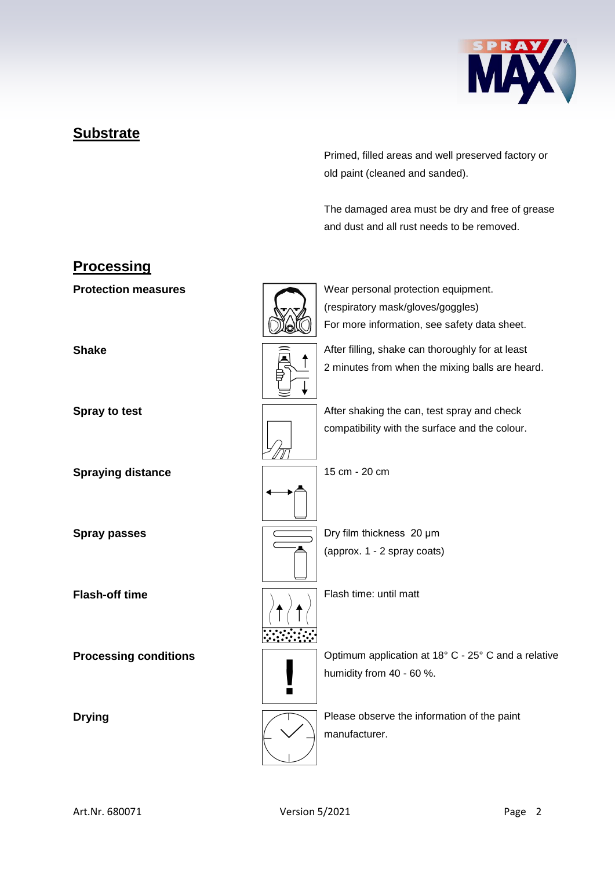

## **Substrate**

Primed, filled areas and well preserved factory or old paint (cleaned and sanded).

The damaged area must be dry and free of grease and dust and all rust needs to be removed.